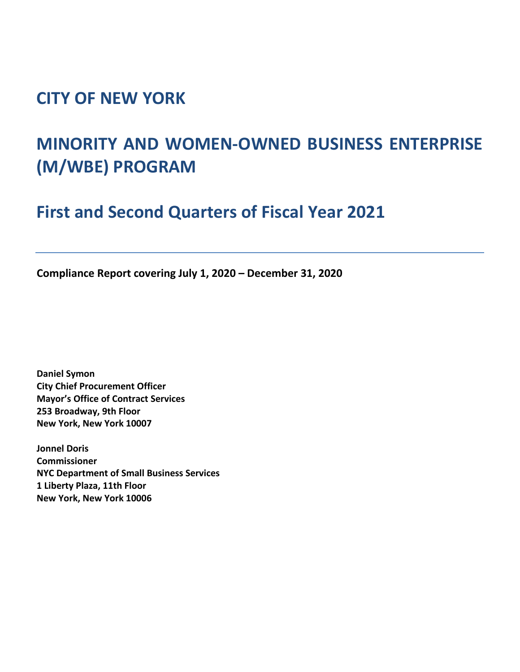## **CITY OF NEW YORK**

# **MINORITY AND WOMEN-OWNED BUSINESS ENTERPRISE (M/WBE) PROGRAM**

**First and Second Quarters of Fiscal Year 2021**

**Compliance Report covering July 1, 2020 – December 31, 2020**

**Daniel Symon City Chief Procurement Officer Mayor's Office of Contract Services 253 Broadway, 9th Floor New York, New York 10007**

**Jonnel Doris Commissioner NYC Department of Small Business Services 1 Liberty Plaza, 11th Floor New York, New York 10006**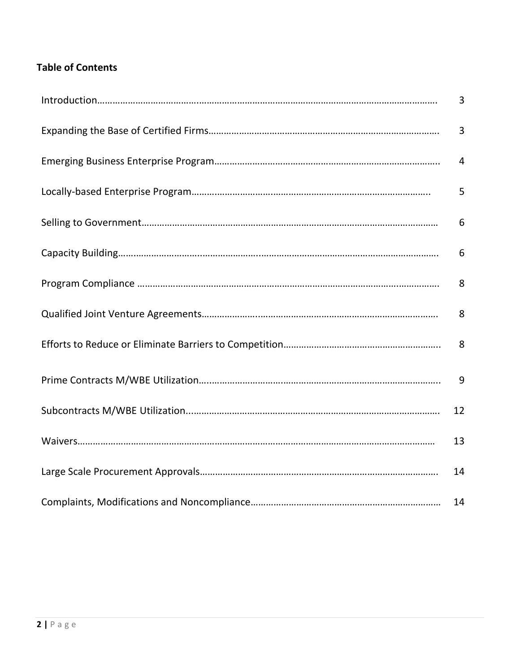### **Table of Contents**

| 3              |
|----------------|
| $\overline{3}$ |
| $\overline{4}$ |
| 5              |
| 6              |
| 6              |
| 8              |
| 8              |
| 8              |
| 9              |
| 12             |
| 13             |
| 14             |
| 14             |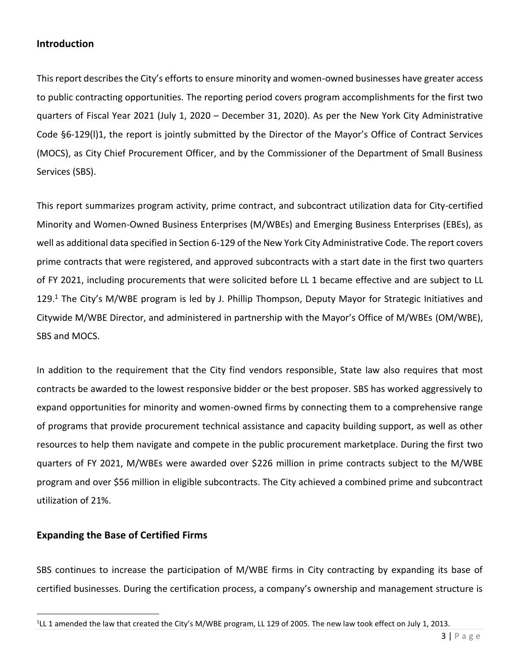#### **Introduction**

This report describes the City's efforts to ensure minority and women-owned businesses have greater access to public contracting opportunities. The reporting period covers program accomplishments for the first two quarters of Fiscal Year 2021 (July 1, 2020 – December 31, 2020). As per the New York City Administrative Code §6-129(l)1, the report is jointly submitted by the Director of the Mayor's Office of Contract Services (MOCS), as City Chief Procurement Officer, and by the Commissioner of the Department of Small Business Services (SBS).

This report summarizes program activity, prime contract, and subcontract utilization data for City-certified Minority and Women-Owned Business Enterprises (M/WBEs) and Emerging Business Enterprises (EBEs), as well as additional data specified in Section 6-129 of the New York City Administrative Code. The report covers prime contracts that were registered, and approved subcontracts with a start date in the first two quarters of FY 2021, including procurements that were solicited before LL 1 became effective and are subject to LL 129.<sup>1</sup> The City's M/WBE program is led by J. Phillip Thompson, Deputy Mayor for Strategic Initiatives and Citywide M/WBE Director, and administered in partnership with the Mayor's Office of M/WBEs (OM/WBE), SBS and MOCS.

In addition to the requirement that the City find vendors responsible, State law also requires that most contracts be awarded to the lowest responsive bidder or the best proposer. SBS has worked aggressively to expand opportunities for minority and women-owned firms by connecting them to a comprehensive range of programs that provide procurement technical assistance and capacity building support, as well as other resources to help them navigate and compete in the public procurement marketplace. During the first two quarters of FY 2021, M/WBEs were awarded over \$226 million in prime contracts subject to the M/WBE program and over \$56 million in eligible subcontracts. The City achieved a combined prime and subcontract utilization of 21%.

#### **Expanding the Base of Certified Firms**

SBS continues to increase the participation of M/WBE firms in City contracting by expanding its base of certified businesses. During the certification process, a company's ownership and management structure is

 $1$ LL 1 amended the law that created the City's M/WBE program, LL 129 of 2005. The new law took effect on July 1, 2013.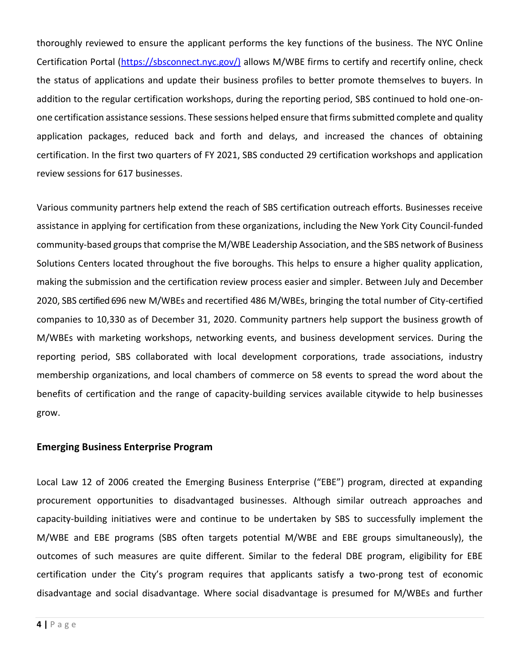thoroughly reviewed to ensure the applicant performs the key functions of the business. The NYC Online Certification Portal [\(https://sbsconnect.nyc.gov/\)](https://sbsconnect.nyc.gov/) allows M/WBE firms to certify and recertify online, check the status of applications and update their business profiles to better promote themselves to buyers. In addition to the regular certification workshops, during the reporting period, SBS continued to hold one-onone certification assistance sessions. These sessions helped ensure that firms submitted complete and quality application packages, reduced back and forth and delays, and increased the chances of obtaining certification. In the first two quarters of FY 2021, SBS conducted 29 certification workshops and application review sessions for 617 businesses.

Various community partners help extend the reach of SBS certification outreach efforts. Businesses receive assistance in applying for certification from these organizations, including the New York City Council-funded community-based groups that comprise the M/WBE Leadership Association, and the SBS network of Business Solutions Centers located throughout the five boroughs. This helps to ensure a higher quality application, making the submission and the certification review process easier and simpler. Between July and December 2020, SBS certified 696 new M/WBEs and recertified 486 M/WBEs, bringing the total number of City-certified companies to 10,330 as of December 31, 2020. Community partners help support the business growth of M/WBEs with marketing workshops, networking events, and business development services. During the reporting period, SBS collaborated with local development corporations, trade associations, industry membership organizations, and local chambers of commerce on 58 events to spread the word about the benefits of certification and the range of capacity-building services available citywide to help businesses grow.

#### **Emerging Business Enterprise Program**

Local Law 12 of 2006 created the Emerging Business Enterprise ("EBE") program, directed at expanding procurement opportunities to disadvantaged businesses. Although similar outreach approaches and capacity-building initiatives were and continue to be undertaken by SBS to successfully implement the M/WBE and EBE programs (SBS often targets potential M/WBE and EBE groups simultaneously), the outcomes of such measures are quite different. Similar to the federal DBE program, eligibility for EBE certification under the City's program requires that applicants satisfy a two-prong test of economic disadvantage and social disadvantage. Where social disadvantage is presumed for M/WBEs and further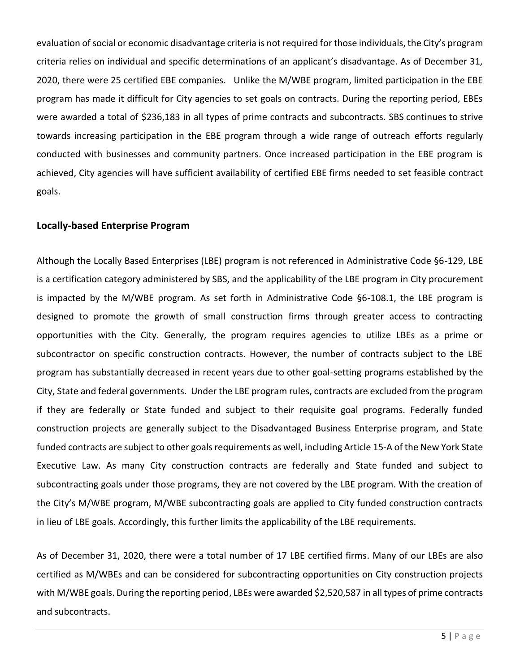evaluation of social or economic disadvantage criteria is not required for those individuals, the City's program criteria relies on individual and specific determinations of an applicant's disadvantage. As of December 31, 2020, there were 25 certified EBE companies. Unlike the M/WBE program, limited participation in the EBE program has made it difficult for City agencies to set goals on contracts. During the reporting period, EBEs were awarded a total of \$236,183 in all types of prime contracts and subcontracts. SBS continues to strive towards increasing participation in the EBE program through a wide range of outreach efforts regularly conducted with businesses and community partners. Once increased participation in the EBE program is achieved, City agencies will have sufficient availability of certified EBE firms needed to set feasible contract goals.

#### **Locally-based Enterprise Program**

Although the Locally Based Enterprises (LBE) program is not referenced in Administrative Code §6-129, LBE is a certification category administered by SBS, and the applicability of the LBE program in City procurement is impacted by the M/WBE program. As set forth in Administrative Code §6-108.1, the LBE program is designed to promote the growth of small construction firms through greater access to contracting opportunities with the City. Generally, the program requires agencies to utilize LBEs as a prime or subcontractor on specific construction contracts. However, the number of contracts subject to the LBE program has substantially decreased in recent years due to other goal-setting programs established by the City, State and federal governments. Under the LBE program rules, contracts are excluded from the program if they are federally or State funded and subject to their requisite goal programs. Federally funded construction projects are generally subject to the Disadvantaged Business Enterprise program, and State funded contracts are subject to other goals requirements as well, including Article 15-A of the New York State Executive Law. As many City construction contracts are federally and State funded and subject to subcontracting goals under those programs, they are not covered by the LBE program. With the creation of the City's M/WBE program, M/WBE subcontracting goals are applied to City funded construction contracts in lieu of LBE goals. Accordingly, this further limits the applicability of the LBE requirements.

As of December 31, 2020, there were a total number of 17 LBE certified firms. Many of our LBEs are also certified as M/WBEs and can be considered for subcontracting opportunities on City construction projects with M/WBE goals. During the reporting period, LBEs were awarded \$2,520,587 in all types of prime contracts and subcontracts.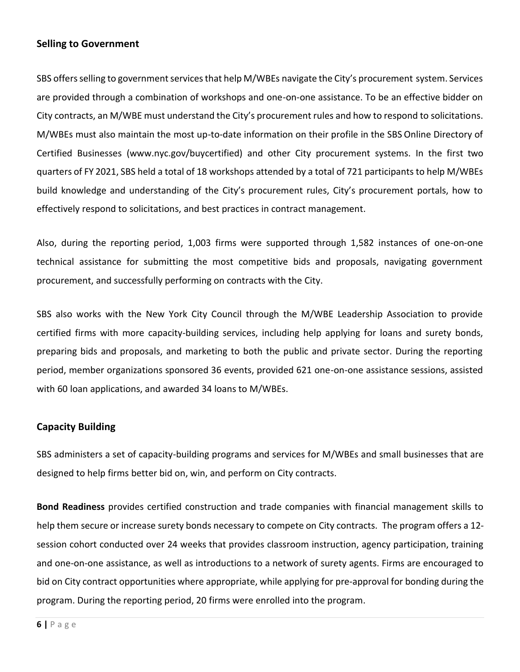#### **Selling to Government**

SBS offers selling to government services that help M/WBEs navigate the City's procurement system. Services are provided through a combination of workshops and one-on-one assistance. To be an effective bidder on City contracts, an M/WBE must understand the City's procurement rules and how to respond to solicitations. M/WBEs must also maintain the most up-to-date information on their profile in the SBS Online Directory of Certified Businesses [\(www.nyc.gov/buycertified\) a](http://www.nyc.gov/buycertified))nd other City procurement systems. In the first two quarters of FY 2021, SBS held a total of 18 workshops attended by a total of 721 participants to help M/WBEs build knowledge and understanding of the City's procurement rules, City's procurement portals, how to effectively respond to solicitations, and best practices in contract management.

Also, during the reporting period, 1,003 firms were supported through 1,582 instances of one-on-one technical assistance for submitting the most competitive bids and proposals, navigating government procurement, and successfully performing on contracts with the City.

SBS also works with the New York City Council through the M/WBE Leadership Association to provide certified firms with more capacity-building services, including help applying for loans and surety bonds, preparing bids and proposals, and marketing to both the public and private sector. During the reporting period, member organizations sponsored 36 events, provided 621 one-on-one assistance sessions, assisted with 60 loan applications, and awarded 34 loans to M/WBEs.

#### **Capacity Building**

SBS administers a set of capacity-building programs and services for M/WBEs and small businesses that are designed to help firms better bid on, win, and perform on City contracts.

**Bond Readiness** provides certified construction and trade companies with financial management skills to help them secure or increase surety bonds necessary to compete on City contracts. The program offers a 12 session cohort conducted over 24 weeks that provides classroom instruction, agency participation, training and one-on-one assistance, as well as introductions to a network of surety agents. Firms are encouraged to bid on City contract opportunities where appropriate, while applying for pre-approval for bonding during the program. During the reporting period, 20 firms were enrolled into the program.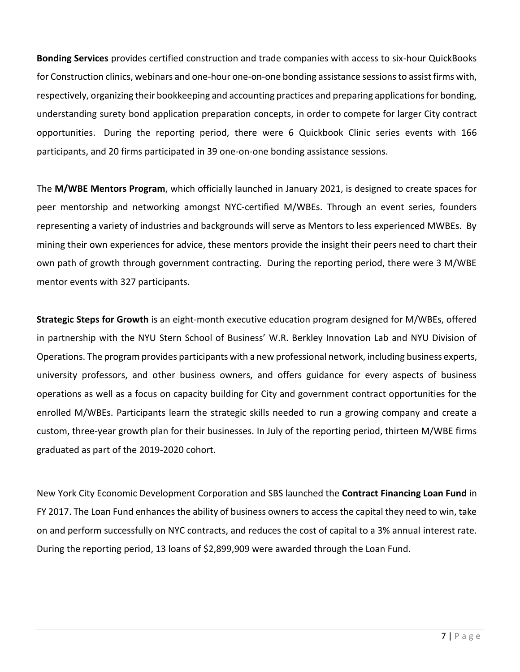**Bonding Services** provides certified construction and trade companies with access to six-hour QuickBooks for Construction clinics, webinars and one-hour one-on-one bonding assistance sessions to assist firms with, respectively, organizing their bookkeeping and accounting practices and preparing applications for bonding, understanding surety bond application preparation concepts, in order to compete for larger City contract opportunities. During the reporting period, there were 6 Quickbook Clinic series events with 166 participants, and 20 firms participated in 39 one-on-one bonding assistance sessions.

The **M/WBE Mentors Program**, which officially launched in January 2021, is designed to create spaces for peer mentorship and networking amongst NYC-certified M/WBEs. Through an event series, founders representing a variety of industries and backgrounds will serve as Mentors to less experienced MWBEs. By mining their own experiences for advice, these mentors provide the insight their peers need to chart their own path of growth through government contracting. During the reporting period, there were 3 M/WBE mentor events with 327 participants.

**Strategic Steps for Growth** is an eight-month executive education program designed for M/WBEs, offered in partnership with the NYU Stern School of Business' W.R. Berkley Innovation Lab and NYU Division of Operations. The program provides participants with a new professional network, including business experts, university professors, and other business owners, and offers guidance for every aspects of business operations as well as a focus on capacity building for City and government contract opportunities for the enrolled M/WBEs. Participants learn the strategic skills needed to run a growing company and create a custom, three-year growth plan for their businesses. In July of the reporting period, thirteen M/WBE firms graduated as part of the 2019-2020 cohort.

New York City Economic Development Corporation and SBS launched the **Contract Financing Loan Fund** in FY 2017. The Loan Fund enhances the ability of business owners to access the capital they need to win, take on and perform successfully on NYC contracts, and reduces the cost of capital to a 3% annual interest rate. During the reporting period, 13 loans of \$2,899,909 were awarded through the Loan Fund.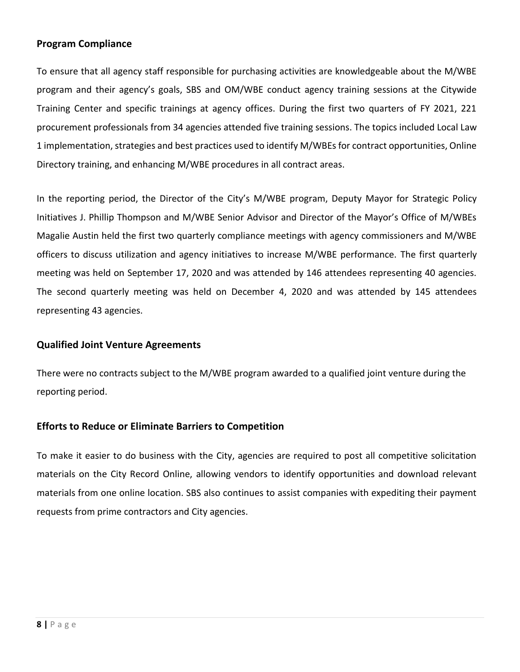#### **Program Compliance**

To ensure that all agency staff responsible for purchasing activities are knowledgeable about the M/WBE program and their agency's goals, SBS and OM/WBE conduct agency training sessions at the Citywide Training Center and specific trainings at agency offices. During the first two quarters of FY 2021, 221 procurement professionals from 34 agencies attended five training sessions. The topics included Local Law 1 implementation, strategies and best practices used to identify M/WBEs for contract opportunities, Online Directory training, and enhancing M/WBE procedures in all contract areas.

In the reporting period, the Director of the City's M/WBE program, Deputy Mayor for Strategic Policy Initiatives J. Phillip Thompson and M/WBE Senior Advisor and Director of the Mayor's Office of M/WBEs Magalie Austin held the first two quarterly compliance meetings with agency commissioners and M/WBE officers to discuss utilization and agency initiatives to increase M/WBE performance. The first quarterly meeting was held on September 17, 2020 and was attended by 146 attendees representing 40 agencies. The second quarterly meeting was held on December 4, 2020 and was attended by 145 attendees representing 43 agencies.

#### **Qualified Joint Venture Agreements**

There were no contracts subject to the M/WBE program awarded to a qualified joint venture during the reporting period.

#### **Efforts to Reduce or Eliminate Barriers to Competition**

To make it easier to do business with the City, agencies are required to post all competitive solicitation materials on the City Record Online, allowing vendors to identify opportunities and download relevant materials from one online location. SBS also continues to assist companies with expediting their payment requests from prime contractors and City agencies.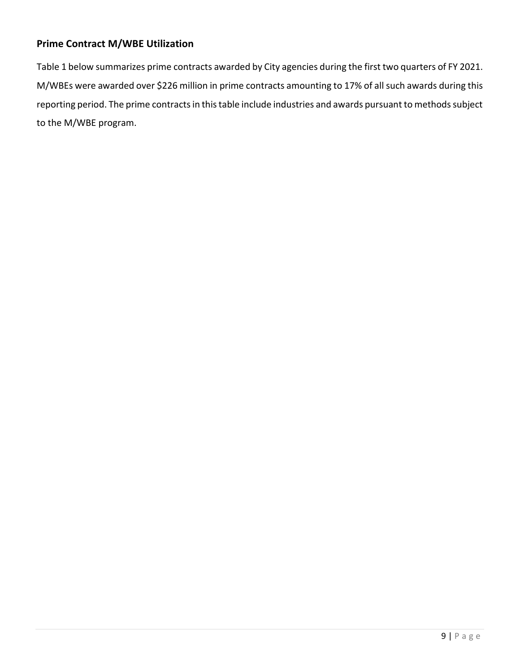#### **Prime Contract M/WBE Utilization**

Table 1 below summarizes prime contracts awarded by City agencies during the first two quarters of FY 2021. M/WBEs were awarded over \$226 million in prime contracts amounting to 17% of all such awards during this reporting period. The prime contracts in this table include industries and awards pursuant to methods subject to the M/WBE program.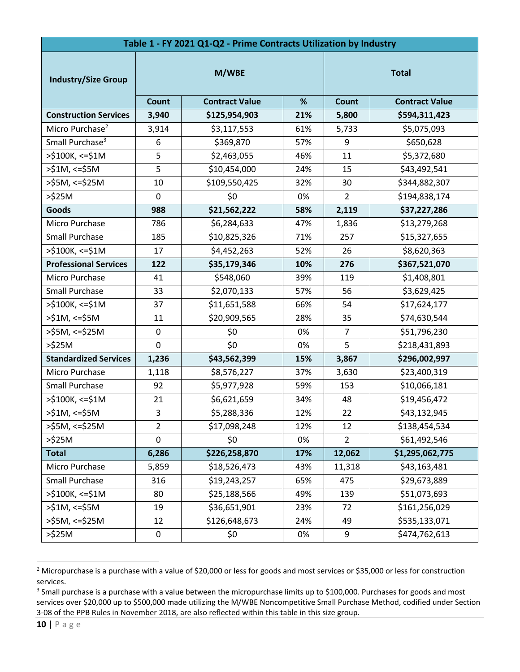| Table 1 - FY 2021 Q1-Q2 - Prime Contracts Utilization by Industry |                |                       |     |                |                       |  |  |  |
|-------------------------------------------------------------------|----------------|-----------------------|-----|----------------|-----------------------|--|--|--|
| <b>Industry/Size Group</b>                                        | M/WBE          |                       |     | <b>Total</b>   |                       |  |  |  |
|                                                                   | Count          | <b>Contract Value</b> | %   | Count          | <b>Contract Value</b> |  |  |  |
| <b>Construction Services</b>                                      | 3,940          | \$125,954,903         | 21% | 5,800          | \$594,311,423         |  |  |  |
| Micro Purchase <sup>2</sup>                                       | 3,914          | \$3,117,553           | 61% | 5,733          | \$5,075,093           |  |  |  |
| Small Purchase <sup>3</sup>                                       | 6              | \$369,870             | 57% | 9              | \$650,628             |  |  |  |
| >\$100K, <= \$1M                                                  | 5              | \$2,463,055           | 46% | 11             | \$5,372,680           |  |  |  |
| $>51M$ , <= $55M$                                                 | 5              | \$10,454,000          | 24% | 15             | \$43,492,541          |  |  |  |
| >\$5M, <=\$25M                                                    | 10             | \$109,550,425         | 32% | 30             | \$344,882,307         |  |  |  |
| $>525M$                                                           | $\mathbf 0$    | \$0                   | 0%  | $\overline{2}$ | \$194,838,174         |  |  |  |
| <b>Goods</b>                                                      | 988            | \$21,562,222          | 58% | 2,119          | \$37,227,286          |  |  |  |
| Micro Purchase                                                    | 786            | \$6,284,633           | 47% | 1,836          | \$13,279,268          |  |  |  |
| <b>Small Purchase</b>                                             | 185            | \$10,825,326          | 71% | 257            | \$15,327,655          |  |  |  |
| >\$100K, <= \$1M                                                  | 17             | \$4,452,263           | 52% | 26             | \$8,620,363           |  |  |  |
| <b>Professional Services</b>                                      | 122            | \$35,179,346          | 10% | 276            | \$367,521,070         |  |  |  |
| Micro Purchase                                                    | 41             | \$548,060             | 39% | 119            | \$1,408,801           |  |  |  |
| <b>Small Purchase</b>                                             | 33             | \$2,070,133           | 57% | 56             | \$3,629,425           |  |  |  |
| >\$100K, <=\$1M                                                   | 37             | \$11,651,588          | 66% | 54             | \$17,624,177          |  |  |  |
| >\$1M, <=\$5M                                                     | 11             | \$20,909,565          | 28% | 35             | \$74,630,544          |  |  |  |
| >\$5M, <=\$25M                                                    | $\pmb{0}$      | \$0                   | 0%  | $\overline{7}$ | \$51,796,230          |  |  |  |
| $>525M$                                                           | $\mathbf 0$    | \$0                   | 0%  | 5              | \$218,431,893         |  |  |  |
| <b>Standardized Services</b>                                      | 1,236          | \$43,562,399          | 15% | 3,867          | \$296,002,997         |  |  |  |
| Micro Purchase                                                    | 1,118          | \$8,576,227           | 37% | 3,630          | \$23,400,319          |  |  |  |
| <b>Small Purchase</b>                                             | 92             | \$5,977,928           | 59% | 153            | \$10,066,181          |  |  |  |
| $>5100K, \leq 51M$                                                | 21             | \$6,621,659           | 34% | 48             | \$19,456,472          |  |  |  |
| >\$1M, <=\$5M                                                     | 3              | \$5,288,336           | 12% | 22             | \$43,132,945          |  |  |  |
| >\$5M, <=\$25M                                                    | $\overline{2}$ | \$17,098,248          | 12% | 12             | \$138,454,534         |  |  |  |
| $>\frac{6}{2}$ 25M                                                | $\mathbf 0$    | \$0                   | 0%  | $\overline{2}$ | \$61,492,546          |  |  |  |
| <b>Total</b>                                                      | 6,286          | \$226,258,870         | 17% | 12,062         | \$1,295,062,775       |  |  |  |
| Micro Purchase                                                    | 5,859          | \$18,526,473          | 43% | 11,318         | \$43,163,481          |  |  |  |
| Small Purchase                                                    | 316            | \$19,243,257          | 65% | 475            | \$29,673,889          |  |  |  |
| >\$100K, <=\$1M                                                   | 80             | \$25,188,566          | 49% | 139            | \$51,073,693          |  |  |  |
| $>51M$ , <= $55M$                                                 | 19             | \$36,651,901          | 23% | 72             | \$161,256,029         |  |  |  |
| >\$5M, <=\$25M                                                    | 12             | \$126,648,673         | 24% | 49             | \$535,133,071         |  |  |  |
| $>\frac{6}{2}$ 25M                                                | 0              | \$0                   | 0%  | 9              | \$474,762,613         |  |  |  |

 $2$  Micropurchase is a purchase with a value of \$20,000 or less for goods and most services or \$35,000 or less for construction services.

 $3$  Small purchase is a purchase with a value between the micropurchase limits up to \$100,000. Purchases for goods and most services over \$20,000 up to \$500,000 made utilizing the M/WBE Noncompetitive Small Purchase Method, codified under Section 3-08 of the PPB Rules in November 2018, are also reflected within this table in this size group.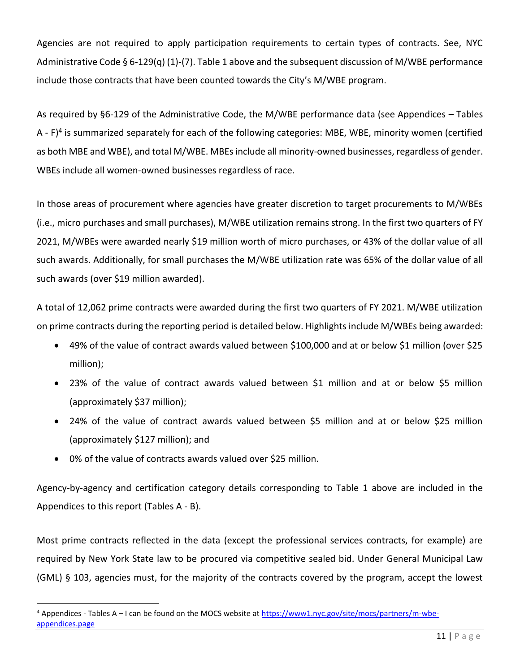Agencies are not required to apply participation requirements to certain types of contracts. See, NYC Administrative Code § 6-129(q) (1)-(7). Table 1 above and the subsequent discussion of M/WBE performance include those contracts that have been counted towards the City's M/WBE program.

As required by §6-129 of the Administrative Code, the M/WBE performance data (see Appendices – Tables A - F)<sup>4</sup> is summarized separately for each of the following categories: MBE, WBE, minority women (certified as both MBE and WBE), and total M/WBE. MBEs include all minority-owned businesses, regardless of gender. WBEs include all women-owned businesses regardless of race.

In those areas of procurement where agencies have greater discretion to target procurements to M/WBEs (i.e., micro purchases and small purchases), M/WBE utilization remains strong. In the first two quarters of FY 2021, M/WBEs were awarded nearly \$19 million worth of micro purchases, or 43% of the dollar value of all such awards. Additionally, for small purchases the M/WBE utilization rate was 65% of the dollar value of all such awards (over \$19 million awarded).

A total of 12,062 prime contracts were awarded during the first two quarters of FY 2021. M/WBE utilization on prime contracts during the reporting period is detailed below. Highlights include M/WBEs being awarded:

- 49% of the value of contract awards valued between \$100,000 and at or below \$1 million (over \$25 million);
- 23% of the value of contract awards valued between \$1 million and at or below \$5 million (approximately \$37 million);
- 24% of the value of contract awards valued between \$5 million and at or below \$25 million (approximately \$127 million); and
- 0% of the value of contracts awards valued over \$25 million.

Agency-by-agency and certification category details corresponding to Table 1 above are included in the Appendices to this report (Tables A - B).

Most prime contracts reflected in the data (except the professional services contracts, for example) are required by New York State law to be procured via competitive sealed bid. Under General Municipal Law (GML) § 103, agencies must, for the majority of the contracts covered by the program, accept the lowest

<sup>4</sup> Appendices - Tables A – I can be found on the MOCS website at [https://www1.nyc.gov/site/mocs/partners/m-wbe](https://www1.nyc.gov/site/mocs/partners/m-wbe-appendices.page)[appendices.page](https://www1.nyc.gov/site/mocs/partners/m-wbe-appendices.page)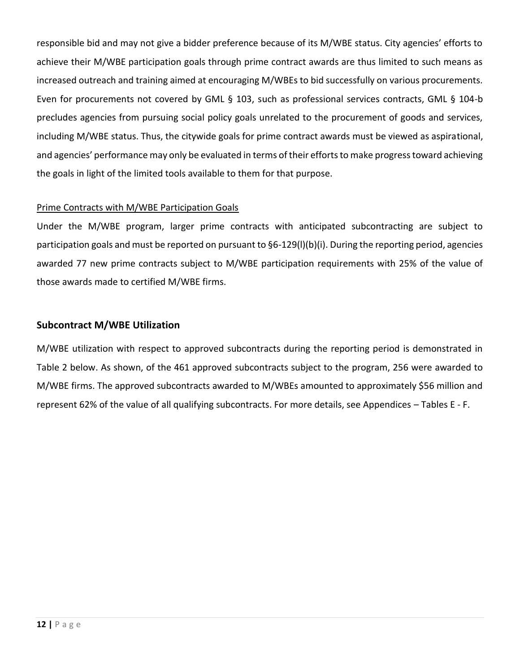responsible bid and may not give a bidder preference because of its M/WBE status. City agencies' efforts to achieve their M/WBE participation goals through prime contract awards are thus limited to such means as increased outreach and training aimed at encouraging M/WBEs to bid successfully on various procurements. Even for procurements not covered by GML § 103, such as professional services contracts, GML § 104-b precludes agencies from pursuing social policy goals unrelated to the procurement of goods and services, including M/WBE status. Thus, the citywide goals for prime contract awards must be viewed as aspirational, and agencies' performance may only be evaluated in terms of their efforts to make progress toward achieving the goals in light of the limited tools available to them for that purpose.

#### Prime Contracts with M/WBE Participation Goals

Under the M/WBE program, larger prime contracts with anticipated subcontracting are subject to participation goals and must be reported on pursuant to §6-129(l)(b)(i). During the reporting period, agencies awarded 77 new prime contracts subject to M/WBE participation requirements with 25% of the value of those awards made to certified M/WBE firms.

#### **Subcontract M/WBE Utilization**

M/WBE utilization with respect to approved subcontracts during the reporting period is demonstrated in Table 2 below. As shown, of the 461 approved subcontracts subject to the program, 256 were awarded to M/WBE firms. The approved subcontracts awarded to M/WBEs amounted to approximately \$56 million and represent 62% of the value of all qualifying subcontracts. For more details, see Appendices – Tables E - F.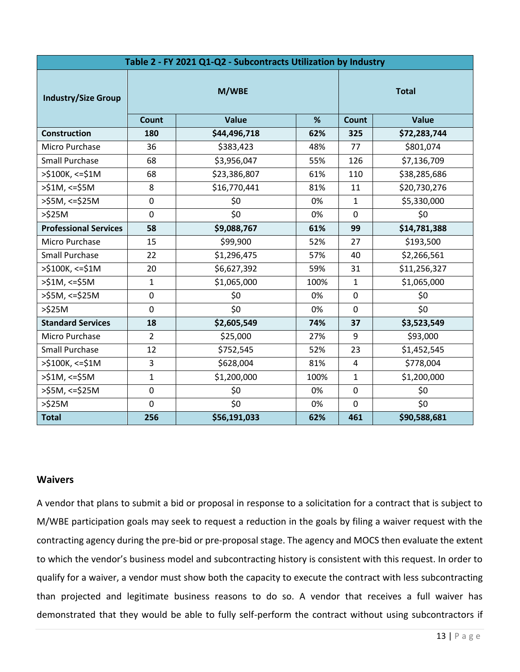| Table 2 - FY 2021 Q1-Q2 - Subcontracts Utilization by Industry |                |              |      |                |              |  |  |  |
|----------------------------------------------------------------|----------------|--------------|------|----------------|--------------|--|--|--|
| <b>Industry/Size Group</b>                                     | M/WBE          |              |      |                | <b>Total</b> |  |  |  |
|                                                                | <b>Count</b>   | <b>Value</b> | %    | <b>Count</b>   | Value        |  |  |  |
| <b>Construction</b>                                            | 180            | \$44,496,718 | 62%  | 325            | \$72,283,744 |  |  |  |
| Micro Purchase                                                 | 36             | \$383,423    | 48%  | 77             | \$801,074    |  |  |  |
| <b>Small Purchase</b>                                          | 68             | \$3,956,047  | 55%  | 126            | \$7,136,709  |  |  |  |
| >\$100K, <= \$1M                                               | 68             | \$23,386,807 | 61%  | 110            | \$38,285,686 |  |  |  |
| >\$1M, <=\$5M                                                  | 8              | \$16,770,441 | 81%  | 11             | \$20,730,276 |  |  |  |
| $>55M$ , <= $$25M$                                             | 0              | \$0          | 0%   | $\mathbf{1}$   | \$5,330,000  |  |  |  |
| $>525M$                                                        | 0              | \$0          | 0%   | 0              | \$0          |  |  |  |
| <b>Professional Services</b>                                   | 58             | \$9,088,767  | 61%  | 99             | \$14,781,388 |  |  |  |
| Micro Purchase                                                 | 15             | \$99,900     | 52%  | 27             | \$193,500    |  |  |  |
| <b>Small Purchase</b>                                          | 22             | \$1,296,475  | 57%  | 40             | \$2,266,561  |  |  |  |
| >\$100K, <= \$1M                                               | 20             | \$6,627,392  | 59%  | 31             | \$11,256,327 |  |  |  |
| $>51M$ , <= $55M$                                              | $\mathbf{1}$   | \$1,065,000  | 100% | $\mathbf{1}$   | \$1,065,000  |  |  |  |
| >\$5M, <=\$25M                                                 | 0              | \$0          | 0%   | $\Omega$       | \$0          |  |  |  |
| $>\frac{6}{2}$ 25M                                             | 0              | \$0          | 0%   | 0              | \$0          |  |  |  |
| <b>Standard Services</b>                                       | 18             | \$2,605,549  | 74%  | 37             | \$3,523,549  |  |  |  |
| Micro Purchase                                                 | $\overline{2}$ | \$25,000     | 27%  | 9              | \$93,000     |  |  |  |
| <b>Small Purchase</b>                                          | 12             | \$752,545    | 52%  | 23             | \$1,452,545  |  |  |  |
| >\$100K, <= \$1M                                               | 3              | \$628,004    | 81%  | $\overline{4}$ | \$778,004    |  |  |  |
| $>51M$ , <= $55M$                                              | $\mathbf{1}$   | \$1,200,000  | 100% | $\mathbf{1}$   | \$1,200,000  |  |  |  |
| >\$5M, <=\$25M                                                 | 0              | \$0          | 0%   | 0              | \$0          |  |  |  |
| $>\simeq$ 25M                                                  | 0              | \$0          | 0%   | 0              | \$0          |  |  |  |
| <b>Total</b>                                                   | 256            | \$56,191,033 | 62%  | 461            | \$90,588,681 |  |  |  |

#### **Waivers**

A vendor that plans to submit a bid or proposal in response to a solicitation for a contract that is subject to M/WBE participation goals may seek to request a reduction in the goals by filing a waiver request with the contracting agency during the pre-bid or pre-proposal stage. The agency and MOCS then evaluate the extent to which the vendor's business model and subcontracting history is consistent with this request. In order to qualify for a waiver, a vendor must show both the capacity to execute the contract with less subcontracting than projected and legitimate business reasons to do so. A vendor that receives a full waiver has demonstrated that they would be able to fully self-perform the contract without using subcontractors if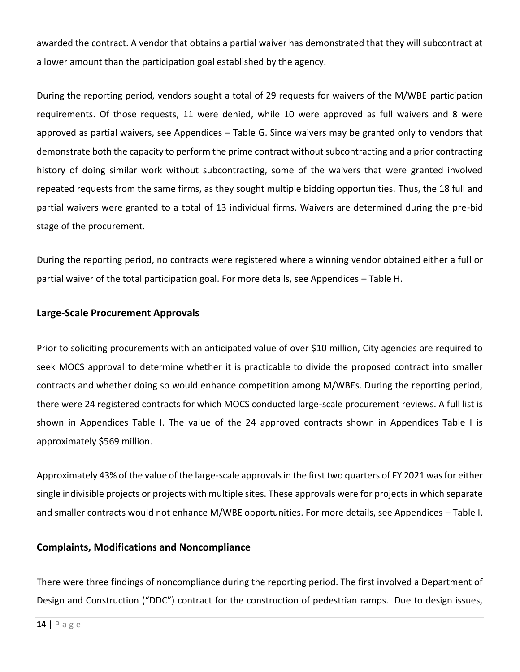awarded the contract. A vendor that obtains a partial waiver has demonstrated that they will subcontract at a lower amount than the participation goal established by the agency.

During the reporting period, vendors sought a total of 29 requests for waivers of the M/WBE participation requirements. Of those requests, 11 were denied, while 10 were approved as full waivers and 8 were approved as partial waivers, see Appendices – Table G. Since waivers may be granted only to vendors that demonstrate both the capacity to perform the prime contract without subcontracting and a prior contracting history of doing similar work without subcontracting, some of the waivers that were granted involved repeated requests from the same firms, as they sought multiple bidding opportunities. Thus, the 18 full and partial waivers were granted to a total of 13 individual firms. Waivers are determined during the pre-bid stage of the procurement.

During the reporting period, no contracts were registered where a winning vendor obtained either a full or partial waiver of the total participation goal. For more details, see Appendices – Table H.

#### **Large-Scale Procurement Approvals**

Prior to soliciting procurements with an anticipated value of over \$10 million, City agencies are required to seek MOCS approval to determine whether it is practicable to divide the proposed contract into smaller contracts and whether doing so would enhance competition among M/WBEs. During the reporting period, there were 24 registered contracts for which MOCS conducted large-scale procurement reviews. A full list is shown in Appendices Table I. The value of the 24 approved contracts shown in Appendices Table I is approximately \$569 million.

Approximately 43% of the value of the large-scale approvals in the first two quarters of FY 2021 was for either single indivisible projects or projects with multiple sites. These approvals were for projects in which separate and smaller contracts would not enhance M/WBE opportunities. For more details, see Appendices – Table I.

#### **Complaints, Modifications and Noncompliance**

There were three findings of noncompliance during the reporting period. The first involved a Department of Design and Construction ("DDC") contract for the construction of pedestrian ramps. Due to design issues,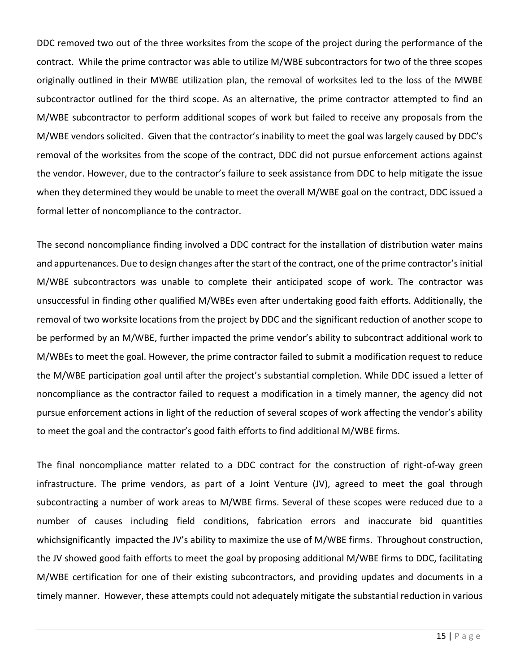DDC removed two out of the three worksites from the scope of the project during the performance of the contract. While the prime contractor was able to utilize M/WBE subcontractors for two of the three scopes originally outlined in their MWBE utilization plan, the removal of worksites led to the loss of the MWBE subcontractor outlined for the third scope. As an alternative, the prime contractor attempted to find an M/WBE subcontractor to perform additional scopes of work but failed to receive any proposals from the M/WBE vendors solicited. Given that the contractor's inability to meet the goal was largely caused by DDC's removal of the worksites from the scope of the contract, DDC did not pursue enforcement actions against the vendor. However, due to the contractor's failure to seek assistance from DDC to help mitigate the issue when they determined they would be unable to meet the overall M/WBE goal on the contract, DDC issued a formal letter of noncompliance to the contractor.

The second noncompliance finding involved a DDC contract for the installation of distribution water mains and appurtenances. Due to design changes after the start of the contract, one of the prime contractor's initial M/WBE subcontractors was unable to complete their anticipated scope of work. The contractor was unsuccessful in finding other qualified M/WBEs even after undertaking good faith efforts. Additionally, the removal of two worksite locations from the project by DDC and the significant reduction of another scope to be performed by an M/WBE, further impacted the prime vendor's ability to subcontract additional work to M/WBEs to meet the goal. However, the prime contractor failed to submit a modification request to reduce the M/WBE participation goal until after the project's substantial completion. While DDC issued a letter of noncompliance as the contractor failed to request a modification in a timely manner, the agency did not pursue enforcement actions in light of the reduction of several scopes of work affecting the vendor's ability to meet the goal and the contractor's good faith efforts to find additional M/WBE firms.

The final noncompliance matter related to a DDC contract for the construction of right-of-way green infrastructure. The prime vendors, as part of a Joint Venture (JV), agreed to meet the goal through subcontracting a number of work areas to M/WBE firms. Several of these scopes were reduced due to a number of causes including field conditions, fabrication errors and inaccurate bid quantities whichsignificantly impacted the JV's ability to maximize the use of M/WBE firms. Throughout construction, the JV showed good faith efforts to meet the goal by proposing additional M/WBE firms to DDC, facilitating M/WBE certification for one of their existing subcontractors, and providing updates and documents in a timely manner. However, these attempts could not adequately mitigate the substantial reduction in various